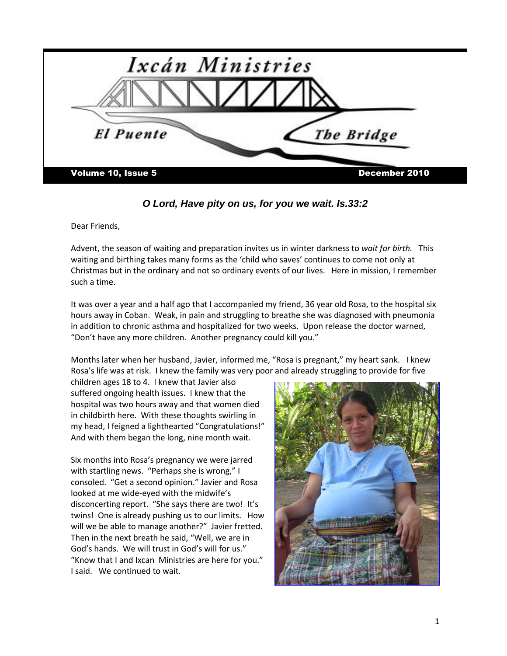

*O Lord, Have pity on us, for you we wait. Is.33:2*

Dear Friends,

Advent, the season of waiting and preparation invites us in winter darkness to *wait for birth.* This waiting and birthing takes many forms as the 'child who saves' continues to come not only at Christmas but in the ordinary and not so ordinary events of our lives. Here in mission, I remember such a time.

It was over a year and a half ago that I accompanied my friend, 36 year old Rosa, to the hospital six hours away in Coban. Weak, in pain and struggling to breathe she was diagnosed with pneumonia in addition to chronic asthma and hospitalized for two weeks. Upon release the doctor warned, "Don't have any more children. Another pregnancy could kill you."

Months later when her husband, Javier, informed me, "Rosa is pregnant," my heart sank. I knew Rosa's life was at risk. I knew the family was very poor and already struggling to provide for five

children ages 18 to 4. I knew that Javier also suffered ongoing health issues. I knew that the hospital was two hours away and that women died in childbirth here. With these thoughts swirling in my head, I feigned a lighthearted "Congratulations!" And with them began the long, nine month wait.

Six months into Rosa's pregnancy we were jarred with startling news. "Perhaps she is wrong," I consoled. "Get a second opinion." Javier and Rosa looked at me wide-eyed with the midwife's disconcerting report. "She says there are two! It's twins! One is already pushing us to our limits. How will we be able to manage another?" Javier fretted. Then in the next breath he said, "Well, we are in God's hands. We will trust in God's will for us." "Know that I and Ixcan Ministries are here for you." I said. We continued to wait.

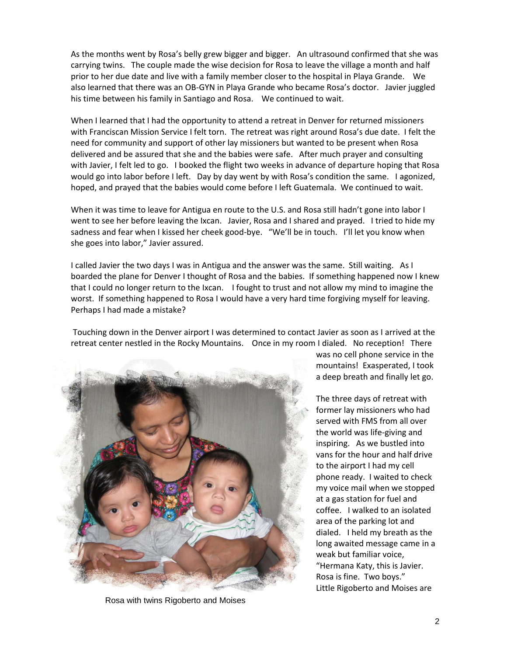As the months went by Rosa's belly grew bigger and bigger. An ultrasound confirmed that she was carrying twins. The couple made the wise decision for Rosa to leave the village a month and half prior to her due date and live with a family member closer to the hospital in Playa Grande. We also learned that there was an OB-GYN in Playa Grande who became Rosa's doctor. Javier juggled his time between his family in Santiago and Rosa. We continued to wait.

When I learned that I had the opportunity to attend a retreat in Denver for returned missioners with Franciscan Mission Service I felt torn. The retreat was right around Rosa's due date. I felt the need for community and support of other lay missioners but wanted to be present when Rosa delivered and be assured that she and the babies were safe. After much prayer and consulting with Javier, I felt led to go. I booked the flight two weeks in advance of departure hoping that Rosa would go into labor before I left. Day by day went by with Rosa's condition the same. I agonized, hoped, and prayed that the babies would come before I left Guatemala. We continued to wait.

When it was time to leave for Antigua en route to the U.S. and Rosa still hadn't gone into labor I went to see her before leaving the Ixcan. Javier, Rosa and I shared and prayed. I tried to hide my sadness and fear when I kissed her cheek good-bye. "We'll be in touch. I'll let you know when she goes into labor," Javier assured.

I called Javier the two days I was in Antigua and the answer was the same. Still waiting. As I boarded the plane for Denver I thought of Rosa and the babies. If something happened now I knew that I could no longer return to the Ixcan. I fought to trust and not allow my mind to imagine the worst. If something happened to Rosa I would have a very hard time forgiving myself for leaving. Perhaps I had made a mistake?

Touching down in the Denver airport I was determined to contact Javier as soon as I arrived at the retreat center nestled in the Rocky Mountains. Once in my room I dialed. No reception! There



Rosa with twins Rigoberto and Moises

was no cell phone service in the mountains! Exasperated, I took a deep breath and finally let go.

The three days of retreat with former lay missioners who had served with FMS from all over the world was life-giving and inspiring. As we bustled into vans for the hour and half drive to the airport I had my cell phone ready. I waited to check my voice mail when we stopped at a gas station for fuel and coffee. I walked to an isolated area of the parking lot and dialed. I held my breath as the long awaited message came in a weak but familiar voice, "Hermana Katy, this is Javier. Rosa is fine. Two boys." Little Rigoberto and Moises are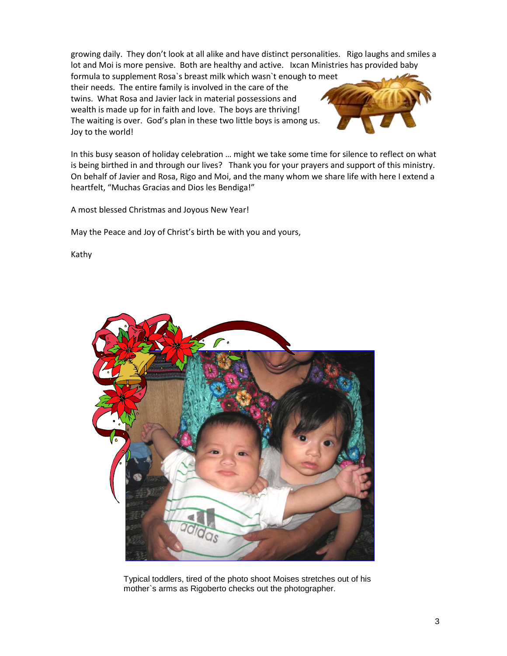growing daily. They don't look at all alike and have distinct personalities. Rigo laughs and smiles a lot and Moi is more pensive. Both are healthy and active. Ixcan Ministries has provided baby

formula to supplement Rosa`s breast milk which wasn`t enough to meet their needs. The entire family is involved in the care of the twins. What Rosa and Javier lack in material possessions and wealth is made up for in faith and love. The boys are thriving! The waiting is over. God's plan in these two little boys is among us. Joy to the world!



In this busy season of holiday celebration … might we take some time for silence to reflect on what is being birthed in and through our lives? Thank you for your prayers and support of this ministry. On behalf of Javier and Rosa, Rigo and Moi, and the many whom we share life with here I extend a heartfelt, "Muchas Gracias and Dios les Bendiga!"

A most blessed Christmas and Joyous New Year!

May the Peace and Joy of Christ's birth be with you and yours,

Kathy



 Typical toddlers, tired of the photo shoot Moises stretches out of his mother`s arms as Rigoberto checks out the photographer.